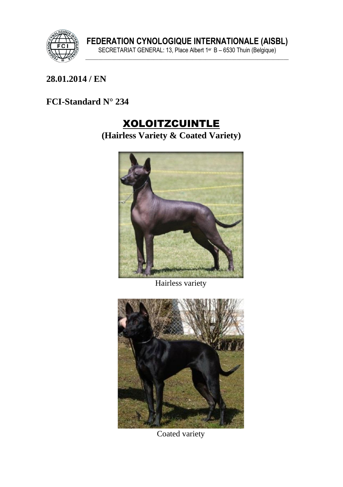

#### **\_\_\_\_\_\_\_\_\_\_\_\_\_\_\_\_\_\_\_\_\_\_\_\_\_\_\_\_\_\_\_\_\_\_\_\_\_\_\_\_\_\_\_\_\_\_\_\_\_\_\_\_\_\_\_\_\_\_\_\_\_\_\_ 28.01.2014 / EN**

# **FCI-Standard N° 234**

# XOLOITZCUINTLE

**(Hairless Variety & Coated Variety)**



Hairless variety



Coated variety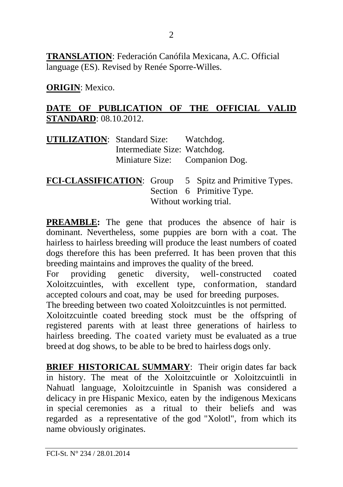**TRANSLATION**: Federación Canófila Mexicana, A.C. Official language (ES). Revised by Renée Sporre-Willes.

**ORIGIN**: Mexico.

#### **DATE OF PUBLICATION OF THE OFFICIAL VALID STANDARD**: 08.10.2012.

| <b>UTILIZATION:</b> Standard Size: Watchdog. |  |
|----------------------------------------------|--|
| Intermediate Size: Watchdog.                 |  |
| Miniature Size: Companion Dog.               |  |

**FCI-CLASSIFICATION**: Group 5 Spitz and Primitive Types. Section 6 Primitive Type. Without working trial.

**PREAMBLE:** The gene that produces the absence of hair is dominant. Nevertheless, some puppies are born with a coat. The hairless to hairless breeding will produce the least numbers of coated dogs therefore this has been preferred. It has been proven that this breeding maintains and improves the quality of the breed.

For providing genetic diversity, well-constructed coated Xoloitzcuintles, with excellent type, conformation, standard accepted colours and coat, may be used for breeding purposes.

The breeding between two coated Xoloitzcuintles is not permitted.

Xoloitzcuintle coated breeding stock must be the offspring of registered parents with at least three generations of hairless to hairless breeding. The coated variety must be evaluated as a true breed at dog shows, to be able to be bred to hairless dogs only.

**BRIEF HISTORICAL SUMMARY**: Their origin dates far back in history. The meat of the Xoloitzcuintle or Xoloitzcuintli in Nahuatl language, Xoloitzcuintle in Spanish was considered a delicacy in pre Hispanic Mexico, eaten by the indigenous Mexicans in special ceremonies as a ritual to their beliefs and was regarded as a representative of the god "Xolotl", from which its name obviously originates.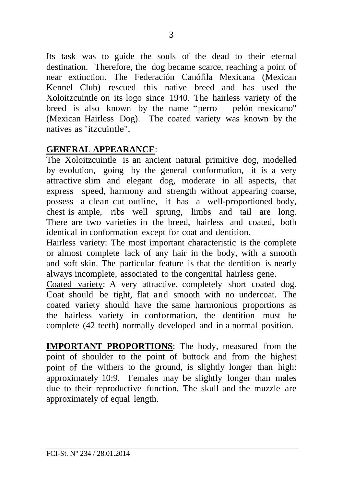Its task was to guide the souls of the dead to their eternal destination. Therefore, the dog became scarce, reaching a point of near extinction. The Federación Canófila Mexicana (Mexican Kennel Club) rescued this native breed and has used the Xoloitzcuintle on its logo since 1940. The hairless variety of the breed is also known by the name "perro pelón mexicano" (Mexican Hairless Dog). The coated variety was known by the natives as "itzcuintle".

#### **GENERAL APPEARANCE**:

The Xoloitzcuintle is an ancient natural primitive dog, modelled by evolution, going by the general conformation, it is a very attractive slim and elegant dog, moderate in all aspects, that express speed, harmony and strength without appearing coarse, possess a clean cut outline, it has a well-proportioned body, chest is ample, ribs well sprung, limbs and tail are long. There are two varieties in the breed, hairless and coated, both identical in conformation except for coat and dentition.

Hairless variety: The most important characteristic is the complete or almost complete lack of any hair in the body, with a smooth and soft skin. The particular feature is that the dentition is nearly always incomplete, associated to the congenital hairless gene.

Coated variety: A very attractive, completely short coated dog. Coat should be tight, flat and smooth with no undercoat. The coated variety should have the same harmonious proportions as the hairless variety in conformation, the dentition must be complete (42 teeth) normally developed and in a normal position.

**IMPORTANT PROPORTIONS**: The body, measured from the point of shoulder to the point of buttock and from the highest point of the withers to the ground, is slightly longer than high: approximately 10:9. Females may be slightly longer than males due to their reproductive function. The skull and the muzzle are approximately of equal length.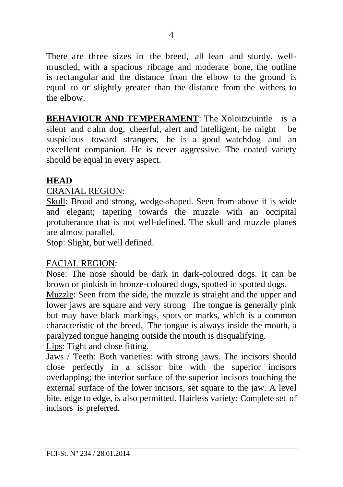There are three sizes in the breed, all lean and sturdy, wellmuscled, with a spacious ribcage and moderate bone, the outline is rectangular and the distance from the elbow to the ground is equal to or slightly greater than the distance from the withers to the elbow.

**BEHAVIOUR AND TEMPERAMENT:** The Xoloitzcuintle is a silent and c alm dog, cheerful, alert and intelligent, he might be suspicious toward strangers, he is a good watchdog and an excellent companion. He is never aggressive. The coated variety should be equal in every aspect.

# **HEAD**

# CRANIAL REGION:

Skull: Broad and strong, wedge-shaped. Seen from above it is wide and elegant; tapering towards the muzzle with an occipital protuberance that is not well-defined. The skull and muzzle planes are almost parallel.

Stop: Slight, but well defined.

# FACIAL REGION:

Nose: The nose should be dark in dark-coloured dogs. It can be brown or pinkish in bronze-coloured dogs, spotted in spotted dogs.

Muzzle: Seen from the side, the muzzle is straight and the upper and lower jaws are square and very strong The tongue is generally pink but may have black markings, spots or marks, which is a common characteristic of the breed. The tongue is always inside the mouth, a paralyzed tongue hanging outside the mouth is disqualifying.

Lips: Tight and close fitting.

Jaws / Teeth: Both varieties: with strong jaws. The incisors should close perfectly in a scissor bite with the superior incisors overlapping; the interior surface of the superior incisors touching the external surface of the lower incisors, set square to the jaw. A level bite, edge to edge, is also permitted. Hairless variety: Complete set of incisors is preferred.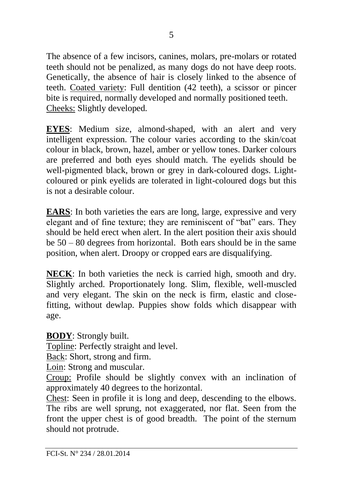The absence of a few incisors, canines, molars, pre-molars or rotated teeth should not be penalized, as many dogs do not have deep roots. Genetically, the absence of hair is closely linked to the absence of teeth. Coated variety: Full dentition (42 teeth), a scissor or pincer bite is required, normally developed and normally positioned teeth. Cheeks: Slightly developed.

**EYES**: Medium size, almond-shaped, with an alert and very intelligent expression. The colour varies according to the skin/coat colour in black, brown, hazel, amber or yellow tones. Darker colours are preferred and both eyes should match. The eyelids should be well-pigmented black, brown or grey in dark-coloured dogs. Lightcoloured or pink eyelids are tolerated in light-coloured dogs but this is not a desirable colour.

**EARS**: In both varieties the ears are long, large, expressive and very elegant and of fine texture; they are reminiscent of "bat" ears. They should be held erect when alert. In the alert position their axis should be 50 – 80 degrees from horizontal. Both ears should be in the same position, when alert. Droopy or cropped ears are disqualifying.

**NECK**: In both varieties the neck is carried high, smooth and dry. Slightly arched. Proportionately long. Slim, flexible, well-muscled and very elegant. The skin on the neck is firm, elastic and closefitting, without dewlap. Puppies show folds which disappear with age.

**BODY**: Strongly built.

Topline: Perfectly straight and level.

Back: Short, strong and firm.

Loin: Strong and muscular.

Croup: Profile should be slightly convex with an inclination of approximately 40 degrees to the horizontal.

Chest: Seen in profile it is long and deep, descending to the elbows. The ribs are well sprung, not exaggerated, nor flat. Seen from the front the upper chest is of good breadth. The point of the sternum should not protrude.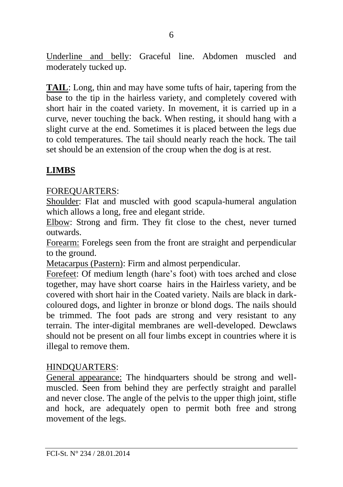Underline and belly: Graceful line. Abdomen muscled and moderately tucked up.

**TAIL**: Long, thin and may have some tufts of hair, tapering from the base to the tip in the hairless variety, and completely covered with short hair in the coated variety. In movement, it is carried up in a curve, never touching the back. When resting, it should hang with a slight curve at the end. Sometimes it is placed between the legs due to cold temperatures. The tail should nearly reach the hock. The tail set should be an extension of the croup when the dog is at rest.

# **LIMBS**

#### FOREQUARTERS:

Shoulder: Flat and muscled with good scapula-humeral angulation which allows a long, free and elegant stride.

Elbow: Strong and firm. They fit close to the chest, never turned outwards.

Forearm: Forelegs seen from the front are straight and perpendicular to the ground.

Metacarpus (Pastern): Firm and almost perpendicular.

Forefeet: Of medium length (hare's foot) with toes arched and close together, may have short coarse hairs in the Hairless variety, and be covered with short hair in the Coated variety. Nails are black in darkcoloured dogs, and lighter in bronze or blond dogs. The nails should be trimmed. The foot pads are strong and very resistant to any terrain. The inter-digital membranes are well-developed. Dewclaws should not be present on all four limbs except in countries where it is illegal to remove them.

# HINDQUARTERS:

General appearance: The hindquarters should be strong and wellmuscled. Seen from behind they are perfectly straight and parallel and never close. The angle of the pelvis to the upper thigh joint, stifle and hock, are adequately open to permit both free and strong movement of the legs.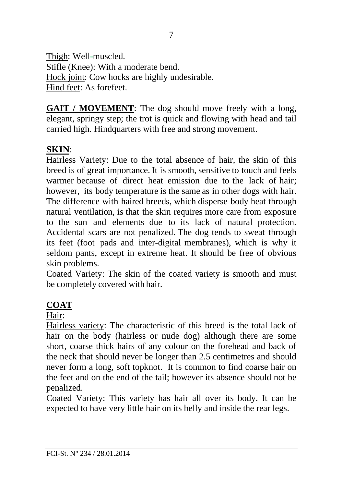Thigh: Well-muscled. Stifle (Knee): With a moderate bend. Hock joint: Cow hocks are highly undesirable. Hind feet: As forefeet.

**GAIT / MOVEMENT**: The dog should move freely with a long, elegant, springy step; the trot is quick and flowing with head and tail carried high. Hindquarters with free and strong movement.

# **SKIN**:

Hairless Variety: Due to the total absence of hair, the skin of this breed is of great importance. It is smooth, sensitive to touch and feels warmer because of direct heat emission due to the lack of hair: however, its body temperature is the same as in other dogs with hair. The difference with haired breeds, which disperse body heat through natural ventilation, is that the skin requires more care from exposure to the sun and elements due to its lack of natural protection. Accidental scars are not penalized. The dog tends to sweat through its feet (foot pads and inter-digital membranes), which is why it seldom pants, except in extreme heat. It should be free of obvious skin problems.

Coated Variety: The skin of the coated variety is smooth and must be completely covered with hair.

# **COAT**

#### Hair:

Hairless variety: The characteristic of this breed is the total lack of hair on the body (hairless or nude dog) although there are some short, coarse thick hairs of any colour on the forehead and back of the neck that should never be longer than 2.5 centimetres and should never form a long, soft topknot. It is common to find coarse hair on the feet and on the end of the tail; however its absence should not be penalized.

Coated Variety: This variety has hair all over its body. It can be expected to have very little hair on its belly and inside the rear legs.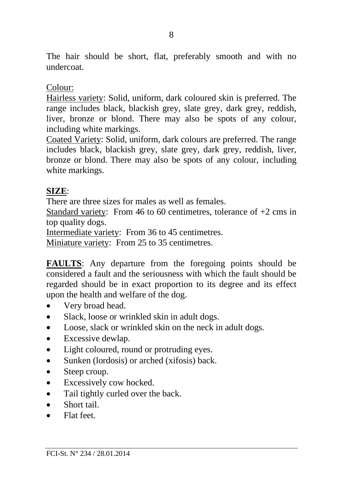The hair should be short, flat, preferably smooth and with no undercoat.

#### Colour:

Hairless variety: Solid, uniform, dark coloured skin is preferred. The range includes black, blackish grey, slate grey, dark grey, reddish, liver, bronze or blond. There may also be spots of any colour, including white markings.

Coated Variety: Solid, uniform, dark colours are preferred. The range includes black, blackish grey, slate grey, dark grey, reddish, liver, bronze or blond. There may also be spots of any colour, including white markings.

#### **SIZE**:

There are three sizes for males as well as females.

Standard variety: From 46 to 60 centimetres, tolerance of +2 cms in top quality dogs.

Intermediate variety: From 36 to 45 centimetres.

Miniature variety: From 25 to 35 centimetres.

**FAULTS**: Any departure from the foregoing points should be considered a fault and the seriousness with which the fault should be regarded should be in exact proportion to its degree and its effect upon the health and welfare of the dog.

- Very broad head.
- Slack, loose or wrinkled skin in adult dogs.
- Loose, slack or wrinkled skin on the neck in adult dogs.
- Excessive dewlap.
- Light coloured, round or protruding eyes.
- Sunken (lordosis) or arched (xifosis) back.
- Steep croup.
- Excessively cow hocked.
- Tail tightly curled over the back.
- Short tail
- Flat feet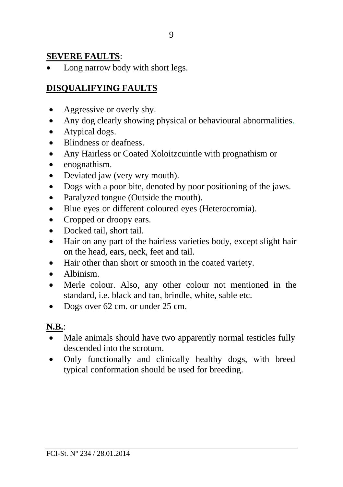# **SEVERE FAULTS**:

• Long narrow body with short legs.

# **DISQUALIFYING FAULTS**

- Aggressive or overly shy.
- Any dog clearly showing physical or behavioural abnormalities.
- Atypical dogs.
- Blindness or deafness
- Any Hairless or Coated Xoloitzcuintle with prognathism or
- enognathism.
- Deviated jaw (very wry mouth).
- Dogs with a poor bite, denoted by poor positioning of the jaws.
- Paralyzed tongue (Outside the mouth).
- Blue eyes or different coloured eyes (Heterocromia).
- Cropped or droopy ears.
- Docked tail, short tail.
- Hair on any part of the hairless varieties body, except slight hair on the head, ears, neck, feet and tail.
- Hair other than short or smooth in the coated variety.
- Albinism.
- Merle colour. Also, any other colour not mentioned in the standard, i.e. black and tan, brindle, white, sable etc.
- Dogs over 62 cm. or under 25 cm.

#### **N.B.**:

- Male animals should have two apparently normal testicles fully descended into the scrotum.
- Only functionally and clinically healthy dogs, with breed typical conformation should be used for breeding.